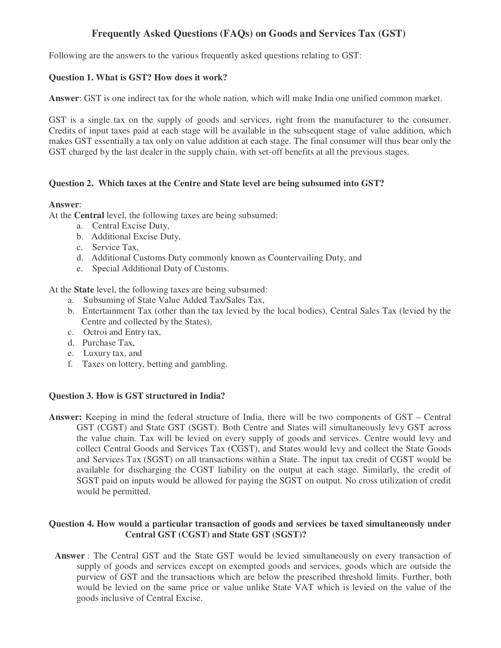# **Frequently Asked Questions (FAQs) on Goods and Services Tax (GST)**

Following are the answers to the various frequently asked questions relating to GST:

# **Question 1. What is GST? How does it work?**

**Answer**: GST is one indirect tax for the whole nation, which will make India one unified common market.

GST is a single tax on the supply of goods and services, right from the manufacturer to the consumer. Credits of input taxes paid at each stage will be available in the subsequent stage of value addition, which makes GST essentially a tax only on value addition at each stage. The final consumer will thus bear only the GST charged by the last dealer in the supply chain, with set-off benefits at all the previous stages.

# **Question 2. Which taxes at the Centre and State level are being subsumed into GST?**

## **Answer**:

At the **Central** level, the following taxes are being subsumed:

- a. Central Excise Duty,
- b. Additional Excise Duty,
- c. Service Tax,
- d. Additional Customs Duty commonly known as Countervailing Duty, and
- e. Special Additional Duty of Customs.

At the **State** level, the following taxes are being subsumed:

- a. Subsuming of State Value Added Tax/Sales Tax,
- b. Entertainment Tax (other than the tax levied by the local bodies), Central Sales Tax (levied by the Centre and collected by the States),
- c. Octroi and Entry tax,
- d. Purchase Tax,
- e. Luxury tax, and
- f. Taxes on lottery, betting and gambling.

## **Question 3. How is GST structured in India?**

**Answer:** Keeping in mind the federal structure of India, there will be two components of GST – Central GST (CGST) and State GST (SGST). Both Centre and States will simultaneously levy GST across the value chain. Tax will be levied on every supply of goods and services. Centre would levy and collect Central Goods and Services Tax (CGST), and States would levy and collect the State Goods and Services Tax (SGST) on all transactions within a State. The input tax credit of CGST would be available for discharging the CGST liability on the output at each stage. Similarly, the credit of SGST paid on inputs would be allowed for paying the SGST on output. No cross utilization of credit would be permitted.

## **Question 4. How would a particular transaction of goods and services be taxed simultaneously under Central GST (CGST) and State GST (SGST)?**

**Answer** : The Central GST and the State GST would be levied simultaneously on every transaction of supply of goods and services except on exempted goods and services, goods which are outside the purview of GST and the transactions which are below the prescribed threshold limits. Further, both would be levied on the same price or value unlike State VAT which is levied on the value of the goods inclusive of Central Excise.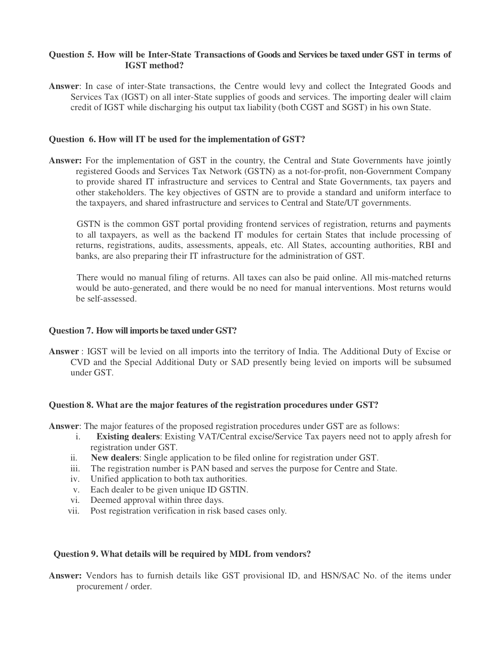## **Question 5. How will be Inter-State Transactions of Goods and Services be taxed under GST in terms of IGST method?**

**Answer**: In case of inter-State transactions, the Centre would levy and collect the Integrated Goods and Services Tax (IGST) on all inter-State supplies of goods and services. The importing dealer will claim credit of IGST while discharging his output tax liability (both CGST and SGST) in his own State.

### **Question 6. How will IT be used for the implementation of GST?**

**Answer:** For the implementation of GST in the country, the Central and State Governments have jointly registered Goods and Services Tax Network (GSTN) as a not-for-profit, non-Government Company to provide shared IT infrastructure and services to Central and State Governments, tax payers and other stakeholders. The key objectives of GSTN are to provide a standard and uniform interface to the taxpayers, and shared infrastructure and services to Central and State/UT governments.

GSTN is the common GST portal providing frontend services of registration, returns and payments to all taxpayers, as well as the backend IT modules for certain States that include processing of returns, registrations, audits, assessments, appeals, etc. All States, accounting authorities, RBI and banks, are also preparing their IT infrastructure for the administration of GST.

 There would no manual filing of returns. All taxes can also be paid online. All mis-matched returns would be auto-generated, and there would be no need for manual interventions. Most returns would be self-assessed.

## **Question 7. How will imports be taxed under GST?**

**Answer** : IGST will be levied on all imports into the territory of India. The Additional Duty of Excise or CVD and the Special Additional Duty or SAD presently being levied on imports will be subsumed under GST.

#### **Question 8. What are the major features of the registration procedures under GST?**

**Answer**: The major features of the proposed registration procedures under GST are as follows:

- i. **Existing dealers**: Existing VAT/Central excise/Service Tax payers need not to apply afresh for registration under GST.
- ii. **New dealers**: Single application to be filed online for registration under GST.
- iii. The registration number is PAN based and serves the purpose for Centre and State.
- iv. Unified application to both tax authorities.
- v. Each dealer to be given unique ID GSTIN.
- vi. Deemed approval within three days.
- vii. Post registration verification in risk based cases only.

#### **Question 9. What details will be required by MDL from vendors?**

**Answer:** Vendors has to furnish details like GST provisional ID, and HSN/SAC No. of the items under procurement / order.